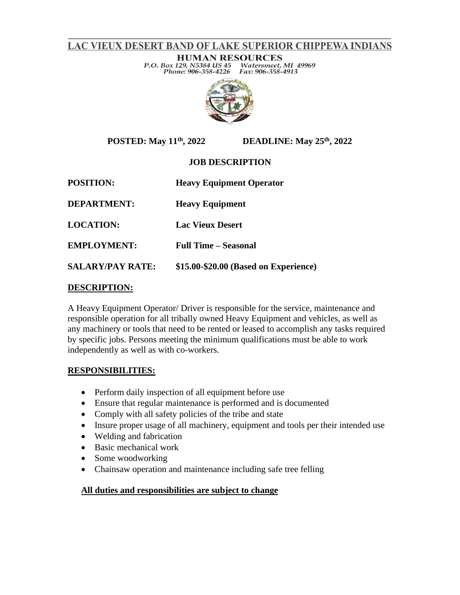# LAC VIEUX DESERT BAND OF LAKE SUPERIOR CHIPPEWA INDIANS

**HUMAN RESOURCES** P.O. Box 129, N5384 US 45 Watersmeet, MI 49969 Phone: 906-358-4226 Fax: 906-358-4913



**POSTED: May 11th**

**, 2022 DEADLINE: May 25th, 2022**

## **JOB DESCRIPTION**

**POSITION: Heavy Equipment Operator**

**DEPARTMENT: Heavy Equipment**

**LOCATION: Lac Vieux Desert**

**EMPLOYMENT: Full Time – Seasonal** 

**SALARY/PAY RATE: \$15.00-\$20.00 (Based on Experience)** 

## **DESCRIPTION:**

A Heavy Equipment Operator/ Driver is responsible for the service, maintenance and responsible operation for all tribally owned Heavy Equipment and vehicles, as well as any machinery or tools that need to be rented or leased to accomplish any tasks required by specific jobs. Persons meeting the minimum qualifications must be able to work independently as well as with co-workers.

## **RESPONSIBILITIES:**

- Perform daily inspection of all equipment before use
- Ensure that regular maintenance is performed and is documented
- Comply with all safety policies of the tribe and state
- Insure proper usage of all machinery, equipment and tools per their intended use
- Welding and fabrication
- Basic mechanical work
- Some woodworking
- Chainsaw operation and maintenance including safe tree felling

#### **All duties and responsibilities are subject to change**